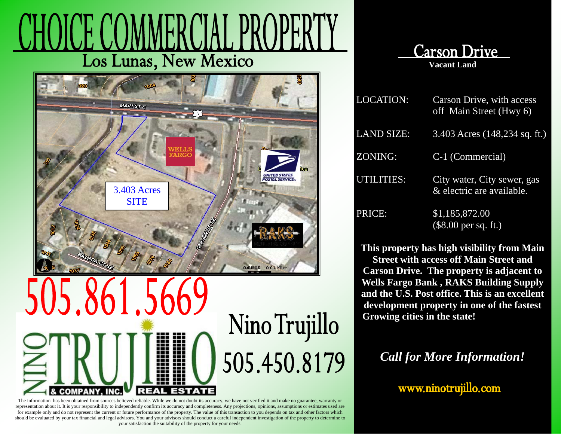## Los Lunas, New Mexico



## Nino Trujillo 505.450.8179 REAL COMPAN

The information has been obtained from sources believed reliable. While we do not doubt its accuracy, we have not verified it and make no guarantee, warranty or representation about it. It is your responsibility to independently confirm its accuracy and completeness. Any projections, opinions, assumptions or estimates used are for example only and do not represent the current or future performance of the property. The value of this transaction to you depends on tax and other factors which should be evaluated by your tax financial and legal advisors. You and your advisors should conduct a careful independent investigation of the property to determine to your satisfaction the suitability of the property for your needs.



| <b>LOCATION:</b>  | Carson Drive, with access<br>off Main Street (Hwy 6)     |
|-------------------|----------------------------------------------------------|
| <b>LAND SIZE:</b> | 3.403 Acres (148,234 sq. ft.)                            |
| ZONING:           | C-1 (Commercial)                                         |
| UTILITIES:        | City water, City sewer, gas<br>& electric are available. |
| PRICE:            | \$1,185,872.00<br>$($8.00 \text{ per sq. ft.})$          |

**This property has high visibility from Main Street with access off Main Street and Carson Drive. The property is adjacent to Wells Fargo Bank , RAKS Building Supply and the U.S. Post office. This is an excellent development property in one of the fastest**  Growing cities in the state!

*Call for More Information!* 

www.ninotrujillo.com